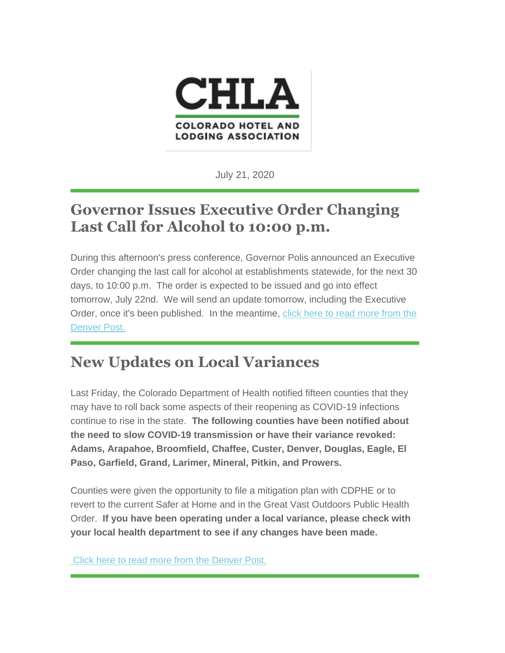

July 21, 2020

# **Governor Issues Executive Order Changing Last Call for Alcohol to 10:00 p.m.**

During this afternoon's press conference, Governor Polis announced an Executive Order changing the last call for alcohol at establishments statewide, for the next 30 days, to 10:00 p.m. The order is expected to be issued and go into effect tomorrow, July 22nd. We will send an update tomorrow, including the Executive Order, once it's been published. In the meantime, [click here to read more from the](https://www.denverpost.com/2020/07/21/colorado-last-call-alcohol-10-pm-covid-polis/)  [Denver Post.](https://www.denverpost.com/2020/07/21/colorado-last-call-alcohol-10-pm-covid-polis/)

# **New Updates on Local Variances**

Last Friday, the Colorado Department of Health notified fifteen counties that they may have to roll back some aspects of their reopening as COVID-19 infections continue to rise in the state. **The following counties have been notified about the need to slow COVID-19 transmission or have their variance revoked: Adams, Arapahoe, Broomfield, Chaffee, Custer, Denver, Douglas, Eagle, El Paso, Garfield, Grand, Larimer, Mineral, Pitkin, and Prowers.** 

Counties were given the opportunity to file a mitigation plan with CDPHE or to revert to the current Safer at Home and in the Great Vast Outdoors Public Health Order. **If you have been operating under a local variance, please check with your local health department to see if any changes have been made.**

[Click here to read more from the Denver Post.](https://www.denverpost.com/2020/07/21/colorado-covid-reopening-counties-denver/)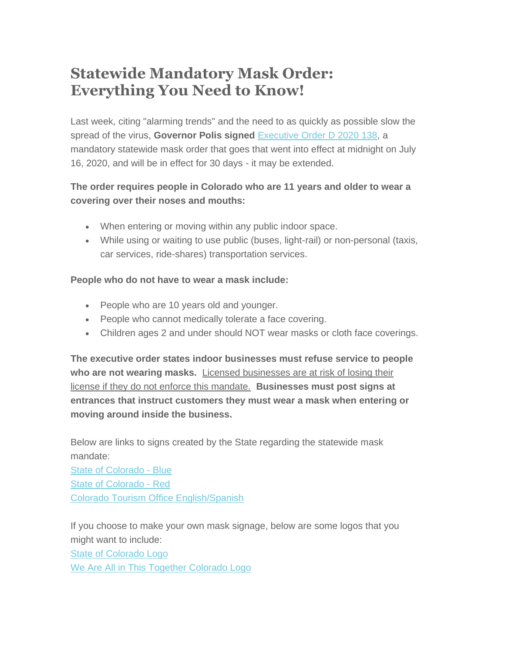## **Statewide Mandatory Mask Order: Everything You Need to Know!**

Last week, citing "alarming trends" and the need to as quickly as possible slow the spread of the virus, **Governor Polis signed** [Executive Order D 2020 138,](https://drive.google.com/file/d/13S9bLuKZbMVmHPucQnekVyOY2k6gYRa9/view) a mandatory statewide mask order that goes that went into effect at midnight on July 16, 2020, and will be in effect for 30 days - it may be extended.

### **The order requires people in Colorado who are 11 years and older to wear a covering over their noses and mouths:**

- When entering or moving within any public indoor space.
- While using or waiting to use public (buses, light-rail) or non-personal (taxis, car services, ride-shares) transportation services.

#### **People who do not have to wear a mask include:**

- People who are 10 years old and younger.
- People who cannot medically tolerate a face covering.
- Children ages 2 and under should NOT wear masks or cloth face coverings.

**The executive order states indoor businesses must refuse service to people who are not wearing masks.** Licensed businesses are at risk of losing their license if they do not enforce this mandate. **Businesses must post signs at entrances that instruct customers they must wear a mask when entering or moving around inside the business.**

Below are links to signs created by the State regarding the statewide mask mandate:

[State of Colorado -](https://drive.google.com/file/d/1f0q8FJgWOP_QvAD2CuHMUmbgnaeFK7MV/view) Blue [State of Colorado -](https://drive.google.com/file/d/1X1clz1lEKez2bX1wcvsi2n_YTPQYPY1-/view) Red [Colorado Tourism Office English/Spanish](https://www.colorado.com/sites/default/files/MaskMandatePoster_2.pdf)

If you choose to make your own mask signage, below are some logos that you might want to include: [State of Colorado Logo](https://chla.com/wp-content/uploads/sites/15/2020/07/CO_Primary_rgb-1.png)

[We Are All in This Together Colorado Logo](https://chla.com/we-are-all-in-this-together-co/)